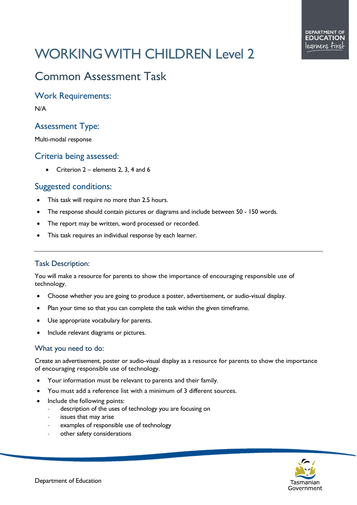# WORKING WITH CHILDREN Level 2

# Common Assessment Task

Work Requirements:

N/A

# Assessment Type:

Multi-modal response

#### Criteria being assessed:

• Criterion 2 – elements 2, 3, 4 and 6

### Suggested conditions:

- This task will require no more than 2.5 hours.
- The response should contain pictures or diagrams and include between 50 150 words.
- The report may be written, word processed or recorded.
- This task requires an individual response by each learner.

#### Task Description:

You will make a resource for parents to show the importance of encouraging responsible use of technology.

- Choose whether you are going to produce a poster, advertisement, or audio-visual display.
- Plan your time so that you can complete the task within the given timeframe.
- Use appropriate vocabulary for parents.
- Include relevant diagrams or pictures.

#### What you need to do:

Create an advertisement, poster or audio-visual display as a resource for parents to show the importance of encouraging responsible use of technology.

- Your information must be relevant to parents and their family.
- You must add a reference list with a minimum of 3 different sources.
- Include the following points:
	- description of the uses of technology you are focusing on
	- issues that may arise
	- examples of responsible use of technology
	- other safety considerations